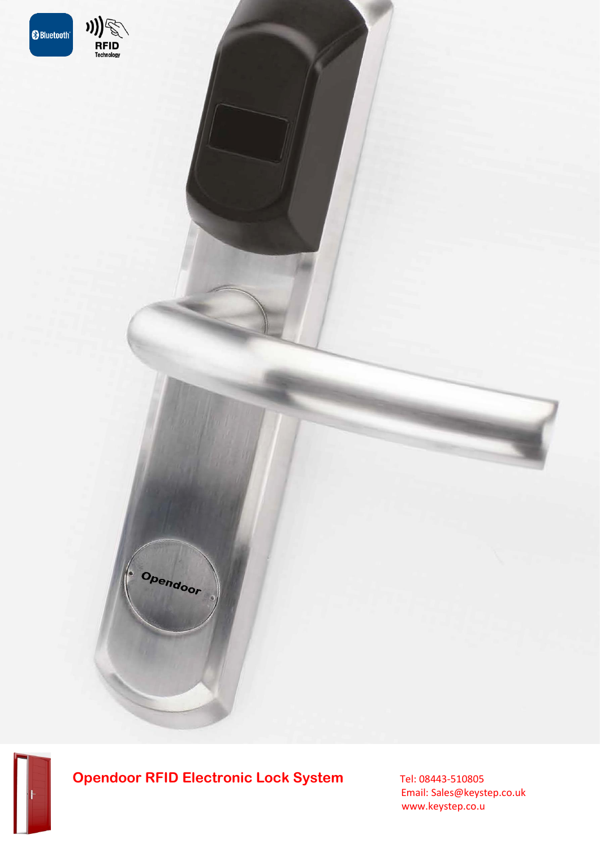

RFID<br>Technology

Opendoor

 Email: Sales@keystep.co.uk www.keystep.co.u

**Revolution RFID Lock Set**